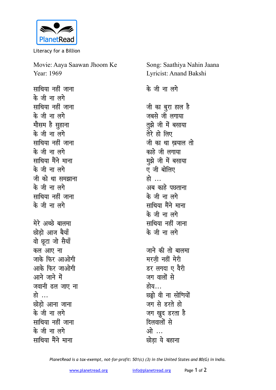

Literacy for a Billion

Movie: Aaya Saawan Jhoom Ke Year: 1969

**साथिया नहीं जाना के** जी ना लगे **साथिया** नहीं जाना **के** जी ना लगे <u>मौसम है सु</u>हाना **के** जी ना लगे **साथिया नहीं** जाना **के** जी ना लगे साथिया मैंने माना **के** जी ना लगे जी को था समझाना **के** जी ना लगे **सा**थिया नहीं जाना <u>के जी ना लगे</u> मेरे अच्छे बालमा <u>छोडो आज बैयाँ</u> वो छूटा जो सैयाँ कल आए ना जाके फिर आओगी आके फिर जाओगी <u>आने जाने में</u> जवानी ढल जाए ना हो … <u> छोडो आना जाना</u> <u>के जी ना लगे</u> **सा**थिया नहीं जाना **के** जी ना लगे साथिया मैंने माना

Song: Saathiya Nahin Jaana Lyricist: Anand Bakshi

**के** जी ना लगे

<u>जी का बुरा हाल है</u> जबसे जी लगाया तुझे जी में बसाया तेरे हो लिए <u>जी</u> का था खयाल तो <u>काहे जी लगाया</u> मझे जी में बसाया ए जी बोलिए **हो** अब काहे पछताना **के** जी ना लगे साथिया मैंने माना **के** जी ना लगे **साथिया नहीं जाना** <u>के जी ना लगे</u> जाने की तो बालमा मरज़ी नहीं मेरी डर लगदा ए वैरी जग वालों से होय… **छड़ो** वी ना सोणियों जग से **डरते** हो जग खुद डरता ह<del>ै</del> **दिलवालों** से ओ ... <u>**छोडा ये बहाना**</u>

*PlanetRead is a tax-exempt, not-for-profit: 501(c) (3) in the United States and 80(G) in India.*